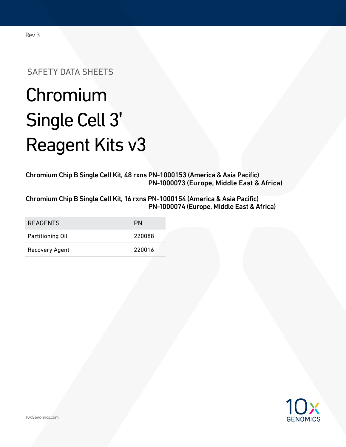## Rev B

SAFETY DATA SHEETS

# Chromium Single Cell 3' Reagent Kits v3

Chromium Chip B Single Cell Kit, 48 rxns PN-1000153 (America & Asia Pacific) PN-1000073 (Europe, Middle East & Africa)

Chromium Chip B Single Cell Kit, 16 rxns PN-1000154 (America & Asia Pacific) PN-1000074 (Europe, Middle East & Africa)

| <b>REAGENTS</b>  | PN     |
|------------------|--------|
| Partitioning Oil | 220088 |
| Recovery Agent   | 220016 |

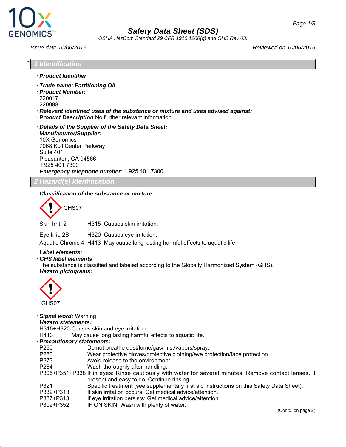



*OSHA HazCom Standard 29 CFR 1910.1200(g) and GHS Rev 03.*

*1* **Identification** 

· *Product Identifier*

*Issue date 10/06/2016 Reviewed on 10/06/2016*

| · Trade name: Partitioning Oil<br>· Product Number:<br>220017<br>220088                                                    | · Relevant identified uses of the substance or mixture and uses advised against:<br>· Product Description No further relevant information                                                                                                                                                                                                                                                                                                                                                                                                                                        |  |
|----------------------------------------------------------------------------------------------------------------------------|----------------------------------------------------------------------------------------------------------------------------------------------------------------------------------------------------------------------------------------------------------------------------------------------------------------------------------------------------------------------------------------------------------------------------------------------------------------------------------------------------------------------------------------------------------------------------------|--|
| · Manufacturer/Supplier:<br>10X Genomics<br>7068 Koll Center Parkway<br>Suite 401<br>Pleasanton, CA 94566<br>1925 401 7300 | Details of the Supplier of the Safety Data Sheet:<br>Emergency telephone number: 1 925 401 7300                                                                                                                                                                                                                                                                                                                                                                                                                                                                                  |  |
| 2 Hazard(s) Identification                                                                                                 |                                                                                                                                                                                                                                                                                                                                                                                                                                                                                                                                                                                  |  |
|                                                                                                                            | Classification of the substance or mixture:                                                                                                                                                                                                                                                                                                                                                                                                                                                                                                                                      |  |
| GHS07                                                                                                                      |                                                                                                                                                                                                                                                                                                                                                                                                                                                                                                                                                                                  |  |
| Skin Irrit. 2                                                                                                              | H315 Causes skin irritation.                                                                                                                                                                                                                                                                                                                                                                                                                                                                                                                                                     |  |
| Eye Irrit. 2B                                                                                                              | H320 Causes eye irritation.<br>Aquatic Chronic 4 H413 May cause long lasting harmful effects to aquatic life.                                                                                                                                                                                                                                                                                                                                                                                                                                                                    |  |
| <b>GHS label elements</b><br>· Hazard pictograms:<br>GHS07                                                                 | The substance is classified and labeled according to the Globally Harmonized System (GHS).                                                                                                                                                                                                                                                                                                                                                                                                                                                                                       |  |
| Signal word: Warning<br>· Hazard statements:                                                                               |                                                                                                                                                                                                                                                                                                                                                                                                                                                                                                                                                                                  |  |
| H413<br>· Precautionary statements:                                                                                        | H315+H320 Causes skin and eye irritation.<br>May cause long lasting harmful effects to aquatic life.                                                                                                                                                                                                                                                                                                                                                                                                                                                                             |  |
| P260<br>P280<br>P273<br>P264<br>P321<br>P332+P313<br>P337+P313                                                             | Do not breathe dust/fume/gas/mist/vapors/spray.<br>Wear protective gloves/protective clothing/eye protection/face protection.<br>Avoid release to the environment.<br>Wash thoroughly after handling.<br>P305+P351+P338 If in eyes: Rinse cautiously with water for several minutes. Remove contact lenses, if<br>present and easy to do. Continue rinsing.<br>Specific treatment (see supplementary first aid instructions on this Safety Data Sheet).<br>If skin irritation occurs: Get medical advice/attention.<br>If eye irritation persists: Get medical advice/attention. |  |
| P302+P352                                                                                                                  | IF ON SKIN: Wash with plenty of water.<br>(Contd. on page 2)                                                                                                                                                                                                                                                                                                                                                                                                                                                                                                                     |  |
|                                                                                                                            |                                                                                                                                                                                                                                                                                                                                                                                                                                                                                                                                                                                  |  |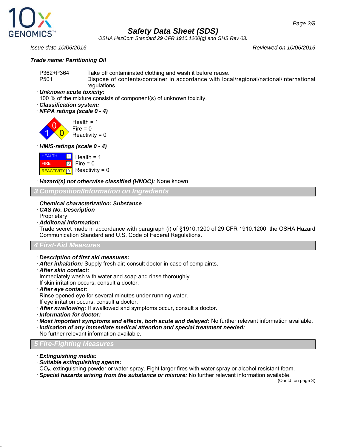

*OSHA HazCom Standard 29 CFR 1910.1200(g) and GHS Rev 03.*

#### *Trade name: Partitioning Oil*

*Issue date 10/06/2016 Reviewed on 10/06/2016*

P362+P364 Take off contaminated clothing and wash it before reuse. P501 Dispose of contents/container in accordance with local/regional/national/international regulations.

· *Unknown acute toxicity:*

100 % of the mixture consists of component(s) of unknown toxicity.

- · *Classification system:*
- · *NFPA ratings (scale 0 4)*

1 0  $\overline{\mathbf{0}}$ Health  $= 1$  $Fire = 0$ Reactivity =  $0$ 

· *HMIS-ratings (scale 0 - 4)*



· *Hazard(s) not otherwise classified (HNOC):* None known

*3 Composition/Information on Ingredients*

- · *Chemical characterization: Substance*
- · *CAS No. Description* **Proprietary**
- · *Additonal information:*

Trade secret made in accordance with paragraph (i) of §1910.1200 of 29 CFR 1910.1200, the OSHA Hazard Communication Standard and U.S. Code of Federal Regulations.

#### *4 First-Aid Measures*

- · *Description of first aid measures:*
- · *After inhalation:* Supply fresh air; consult doctor in case of complaints.
- · *After skin contact:*
- Immediately wash with water and soap and rinse thoroughly.

If skin irritation occurs, consult a doctor.

- · *After eye contact:*
- Rinse opened eye for several minutes under running water.
- If eye irritation occurs, consult a doctor.
- · *After swallowing:* If swallowed and symptoms occur, consult a doctor.
- · *Information for doctor:*
- · *Most important symptoms and effects, both acute and delayed:* No further relevant information available.
- · *Indication of any immediate medical attention and special treatment needed:* No further relevant information available.

## *5 Fire-Fighting Measures*

- · *Extinguishing media:*
- · *Suitable extinguishing agents:*
- CO₂, extinguishing powder or water spray. Fight larger fires with water spray or alcohol resistant foam.
- · *Special hazards arising from the substance or mixture:* No further relevant information available.

(Contd. on page 3)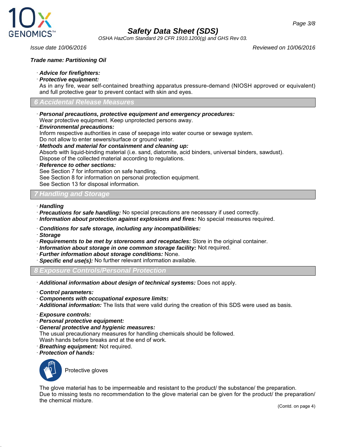

*OSHA HazCom Standard 29 CFR 1910.1200(g) and GHS Rev 03.*

*Issue date 10/06/2016 Reviewed on 10/06/2016*

#### *Trade name: Partitioning Oil*

- · *Advice for firefighters:*
- · *Protective equipment:*

As in any fire, wear self-contained breathing apparatus pressure-demand (NIOSH approved or equivalent) and full protective gear to prevent contact with skin and eyes.

#### *6 Accidental Release Measures*

- · *Personal precautions, protective equipment and emergency procedures:* Wear protective equipment. Keep unprotected persons away.
- · *Environmental precautions:*

Inform respective authorities in case of seepage into water course or sewage system. Do not allow to enter sewers/surface or ground water.

· *Methods and material for containment and cleaning up:* Absorb with liquid-binding material (i.e. sand, diatomite, acid binders, universal binders, sawdust). Dispose of the collected material according to regulations.

#### · *Reference to other sections:*

See Section 7 for information on safe handling.

See Section 8 for information on personal protection equipment.

See Section 13 for disposal information.

#### *7 Handling and Storage*

- · *Handling*
- · *Precautions for safe handling:* No special precautions are necessary if used correctly.
- · *Information about protection against explosions and fires:* No special measures required.
- · *Conditions for safe storage, including any incompatibilities:*
- · *Storage*
- · *Requirements to be met by storerooms and receptacles:* Store in the original container.
- · *Information about storage in one common storage facility:* Not required.
- · *Further information about storage conditions:* None.
- · *Specific end use(s):* No further relevant information available.
- *8 Exposure Controls/Personal Protection*
- · *Additional information about design of technical systems:* Does not apply.
- · *Control parameters:*
- · *Components with occupational exposure limits:*
- · *Additional information:* The lists that were valid during the creation of this SDS were used as basis.
- · *Exposure controls:*
- · *Personal protective equipment:*
- · *General protective and hygienic measures:*
- The usual precautionary measures for handling chemicals should be followed.
- Wash hands before breaks and at the end of work.
- · *Breathing equipment:* Not required.
- · *Protection of hands:*



Protective gloves

The glove material has to be impermeable and resistant to the product/ the substance/ the preparation. Due to missing tests no recommendation to the glove material can be given for the product/ the preparation/ the chemical mixture.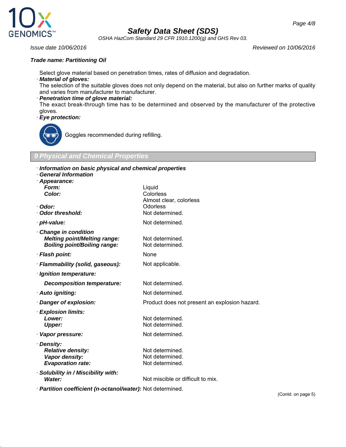

*OSHA HazCom Standard 29 CFR 1910.1200(g) and GHS Rev 03.*

*Issue date 10/06/2016 Reviewed on 10/06/2016*

#### *Trade name: Partitioning Oil*

Select glove material based on penetration times, rates of diffusion and degradation.

#### · *Material of gloves:*

The selection of the suitable gloves does not only depend on the material, but also on further marks of quality and varies from manufacturer to manufacturer.

#### · *Penetration time of glove material:*

The exact break-through time has to be determined and observed by the manufacturer of the protective gloves.

· *Eye protection:*



Goggles recommended during refilling.

#### *9 Physical and Chemical Properties*

| · Appearance:                       |                                               |
|-------------------------------------|-----------------------------------------------|
| Form:                               | Liquid                                        |
| Color:                              | Colorless                                     |
|                                     | Almost clear, colorless                       |
| · Odor:<br>Odor threshold:          | Odorless<br>Not determined.                   |
|                                     |                                               |
| · pH-value:                         | Not determined.                               |
| Change in condition                 |                                               |
| <b>Melting point/Melting range:</b> | Not determined.                               |
| <b>Boiling point/Boiling range:</b> | Not determined.                               |
| · Flash point:                      | None                                          |
| · Flammability (solid, gaseous):    | Not applicable.                               |
| · Ignition temperature:             |                                               |
| <b>Decomposition temperature:</b>   | Not determined.                               |
| · Auto igniting:                    | Not determined.                               |
| Danger of explosion:                | Product does not present an explosion hazard. |
| · Explosion limits:                 |                                               |
| Lower:                              | Not determined.                               |
| <b>Upper:</b>                       | Not determined.                               |
| Vapor pressure:                     | Not determined.                               |
| · Density:                          |                                               |
| <b>Relative density:</b>            | Not determined.                               |
| Vapor density:                      | Not determined.                               |
| <b>Evaporation rate:</b>            | Not determined.                               |
| · Solubility in / Miscibility with: |                                               |
| Water:                              | Not miscible or difficult to mix.             |

(Contd. on page 5)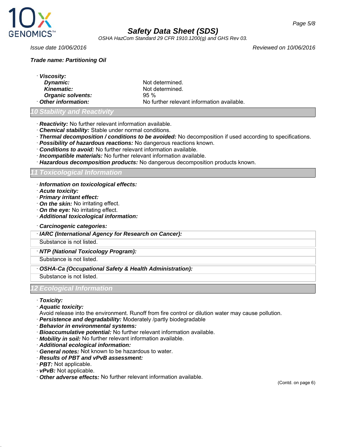

*OSHA HazCom Standard 29 CFR 1910.1200(g) and GHS Rev 03.*

#### *Trade name: Partitioning Oil*

*Issue date 10/06/2016 Reviewed on 10/06/2016*

· *Viscosity:* **Dynamic:** Not determined. **Kinematic:** Not determined. **Organic solvents:** 95 % · *Other information:* No further relevant information available.

## *Stability and Reactivi*

- · *Reactivity:* No further relevant information available.
- · *Chemical stability:* Stable under normal conditions.
- · *Thermal decomposition / conditions to be avoided:* No decomposition if used according to specifications.
- · *Possibility of hazardous reactions:* No dangerous reactions known.
- · *Conditions to avoid:* No further relevant information available.
- · *Incompatible materials:* No further relevant information available.
- · *Hazardous decomposition products:* No dangerous decomposition products known.

#### *11 Toxicological Information*

- · *Information on toxicological effects:*
- · *Acute toxicity:*
- · *Primary irritant effect:*
- · *On the skin:* No irritating effect.
- · *On the eye:* No irritating effect.
- · *Additional toxicological information:*
- · *Carcinogenic categories:*
- · *IARC (International Agency for Research on Cancer):*

Substance is not listed.

#### · *NTP (National Toxicology Program):*

Substance is not listed.

#### · *OSHA-Ca (Occupational Safety & Health Administration):*

Substance is not listed.

*12 Ecological Information*

- · *Toxicity:*
- · *Aquatic toxicity:*
- Avoid release into the environment. Runoff from fire control or dilution water may cause pollution.
- · *Persistence and degradability:* Moderately /partly biodegradable
- · *Behavior in environmental systems:*
- · *Bioaccumulative potential:* No further relevant information available.
- · *Mobility in soil:* No further relevant information available.
- · *Additional ecological information:*
- · *General notes:* Not known to be hazardous to water.
- · *Results of PBT and vPvB assessment:*
- · *PBT:* Not applicable.
- · *vPvB:* Not applicable.
- · *Other adverse effects:* No further relevant information available.

(Contd. on page 6)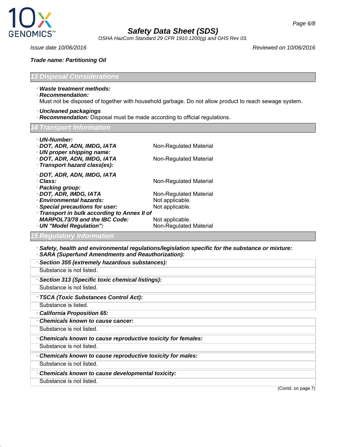

*OSHA HazCom Standard 29 CFR 1910.1200(g) and GHS Rev 03.*

*Issue date 10/06/2016 Reviewed on 10/06/2016*

#### *Trade name: Partitioning Oil*

*13 Disposal Considerations*

- · *Waste treatment methods:*
- · *Recommendation:*

Must not be disposed of together with household garbage. Do not allow product to reach sewage system.

- · *Uncleaned packagings*
- · *Recommendation:* Disposal must be made according to official regulations.

#### *14 Transport Information*

| · UN-Number:<br>· DOT, ADR, ADN, IMDG, IATA                                                | Non-Regulated Material |  |  |
|--------------------------------------------------------------------------------------------|------------------------|--|--|
| · UN proper shipping name:<br>· DOT, ADR, ADN, IMDG, IATA<br>· Transport hazard class(es): | Non-Regulated Material |  |  |
| · DOT, ADR, ADN, IMDG, IATA<br>· Class:<br>· Packing group:                                | Non-Regulated Material |  |  |
| · DOT, ADR, IMDG, IATA                                                                     | Non-Regulated Material |  |  |
| · Environmental hazards:                                                                   | Not applicable.        |  |  |
| · Special precautions for user:                                                            | Not applicable.        |  |  |
| · Transport in bulk according to Annex II of                                               |                        |  |  |
| <b>MARPOL73/78 and the IBC Code:</b>                                                       | Not applicable.        |  |  |
| · UN "Model Regulation":                                                                   | Non-Regulated Material |  |  |
| <b>15 Regulatory Information</b>                                                           |                        |  |  |

· *Safety, health and environmental regulations/legislation specific for the substance or mixture:* · *SARA (Superfund Amendments and Reauthorization):*

| SARA (Superium Amendments and Readmonization).              |                    |
|-------------------------------------------------------------|--------------------|
| Section 355 (extremely hazardous substances):               |                    |
| Substance is not listed.                                    |                    |
| Section 313 (Specific toxic chemical listings):             |                    |
| Substance is not listed.                                    |                    |
| · TSCA (Toxic Substances Control Act):                      |                    |
| Substance is listed.                                        |                    |
| California Proposition 65:                                  |                    |
| Chemicals known to cause cancer:                            |                    |
| Substance is not listed.                                    |                    |
| Chemicals known to cause reproductive toxicity for females: |                    |
| Substance is not listed.                                    |                    |
| Chemicals known to cause reproductive toxicity for males:   |                    |
| Substance is not listed.                                    |                    |
| Chemicals known to cause developmental toxicity:            |                    |
| Substance is not listed.                                    |                    |
|                                                             | (Contd. on page 7) |
|                                                             |                    |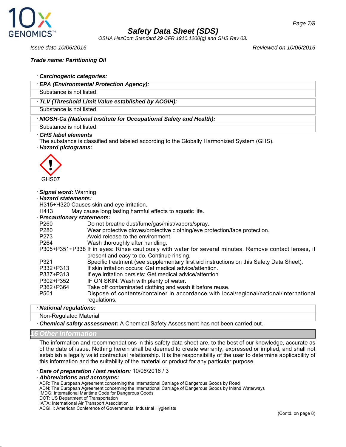

*OSHA HazCom Standard 29 CFR 1910.1200(g) and GHS Rev 03.*

#### *Trade name: Partitioning Oil*

- · *Carcinogenic categories:*
- · *EPA (Environmental Protection Agency):*

Substance is not listed.

#### · *TLV (Threshold Limit Value established by ACGIH):*

Substance is not listed.

· *NIOSH-Ca (National Institute for Occupational Safety and Health):*

Substance is not listed.

#### · *GHS label elements*

The substance is classified and labeled according to the Globally Harmonized System (GHS). · *Hazard pictograms:*



#### · *Signal word:* Warning

· *Hazard statements:*

H315+H320 Causes skin and eye irritation.

H413 May cause long lasting harmful effects to aquatic life.

#### · *Precautionary statements:*

- P260 Do not breathe dust/fume/gas/mist/vapors/spray.<br>P280 Wear protective gloves/protective clothing/eve pro
- P280 Wear protective gloves/protective clothing/eye protection/face protection.<br>P273 Avoid release to the environment.
- Avoid release to the environment.
- P264 Wash thoroughly after handling.

P305+P351+P338 If in eyes: Rinse cautiously with water for several minutes. Remove contact lenses, if present and easy to do. Continue rinsing.

- P321 Specific treatment (see supplementary first aid instructions on this Safety Data Sheet).
- P332+P313 If skin irritation occurs: Get medical advice/attention.
- P337+P313 If eye irritation persists: Get medical advice/attention.
- P302+P352 IF ON SKIN: Wash with plenty of water.
- P362+P364 Take off contaminated clothing and wash it before reuse.
- P501 Dispose of contents/container in accordance with local/regional/national/international regulations.

#### · *National regulations:*

Non-Regulated Material

· *Chemical safety assessment:* A Chemical Safety Assessment has not been carried out.

#### *16 Other Information*

The information and recommendations in this safety data sheet are, to the best of our knowledge, accurate as of the date of issue. Nothing herein shall be deemed to create warranty, expressed or implied, and shall not establish a legally valid contractual relationship. It is the responsibility of the user to determine applicability of this information and the suitability of the material or product for any particular purpose.

#### · *Date of preparation / last revision:* 10/06/2016 / 3

· *Abbreviations and acronyms:*

ADR: The European Agreement concerning the International Carriage of Dangerous Goods by Road

ADN: The European Agreement concerning the International Carriage of Dangerous Goods by Inland Waterways

- IMDG: International Maritime Code for Dangerous Goods
- DOT: US Department of Transportation

IATA: International Air Transport Association

ACGIH: American Conference of Governmental Industrial Hygienists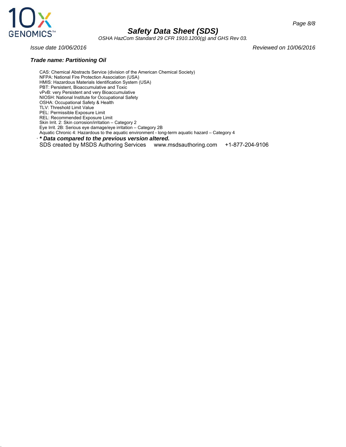

*OSHA HazCom Standard 29 CFR 1910.1200(g) and GHS Rev 03.*

*Page 8/8*

*Issue date 10/06/2016 Reviewed on 10/06/2016*

#### *Trade name: Partitioning Oil*

CAS: Chemical Abstracts Service (division of the American Chemical Society) NFPA: National Fire Protection Association (USA) HMIS: Hazardous Materials Identification System (USA) PBT: Persistent, Bioaccumulative and Toxic vPvB: very Persistent and very Bioaccumulative NIOSH: National Institute for Occupational Safety OSHA: Occupational Safety & Health TLV: Threshold Limit Value PEL: Permissible Exposure Limit REL: Recommended Exposure Limit Skin Irrit. 2: Skin corrosion/irritation – Category 2 Eye Irrit. 2B: Serious eye damage/eye irritation – Category 2B Aquatic Chronic 4: Hazardous to the aquatic environment - long-term aquatic hazard – Category 4 · *\* Data compared to the previous version altered.* SDS created by MSDS Authoring Services www.msdsauthoring.com +1-877-204-9106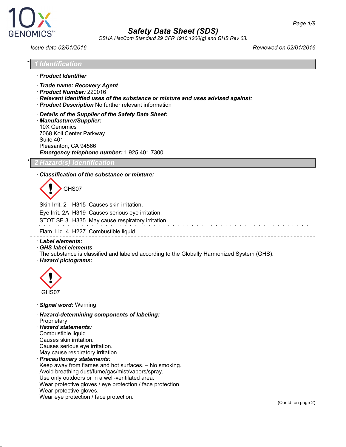

*OSHA HazCom Standard 29 CFR 1910.1200(g) and GHS Rev 03.*

*Issue date 02/01/2016 Reviewed on 02/01/2016*

| * 1 Identification |
|--------------------|
|--------------------|

- · *Product Identifier*
- · *Trade name: Recovery Agent*
- · *Product Number:* 220016
- · *Relevant identified uses of the substance or mixture and uses advised against:*
- · *Product Description* No further relevant information
- · *Details of the Supplier of the Safety Data Sheet:* · *Manufacturer/Supplier:* 10X Genomics 7068 Koll Center Parkway

Suite 401 Pleasanton, CA 94566

· *Emergency telephone number:* 1 925 401 7300

\* *2 Hazard(s) Identification*

#### · *Classification of the substance or mixture:*

GHS07

Skin Irrit. 2 H315 Causes skin irritation.

Eye Irrit. 2A H319 Causes serious eye irritation.

STOT SE 3 H335 May cause respiratory irritation.

Flam. Liq. 4 H227 Combustible liquid.

· *Label elements:*

· *GHS label elements*

The substance is classified and labeled according to the Globally Harmonized System (GHS). · *Hazard pictograms:*



· *Signal word:* Warning

· *Hazard-determining components of labeling:*

**Proprietary** 

· *Hazard statements:* Combustible liquid. Causes skin irritation. Causes serious eye irritation. May cause respiratory irritation. · *Precautionary statements:*

Keep away from flames and hot surfaces. – No smoking. Avoid breathing dust/fume/gas/mist/vapors/spray. Use only outdoors or in a well-ventilated area. Wear protective gloves / eye protection / face protection. Wear protective gloves. Wear eye protection / face protection.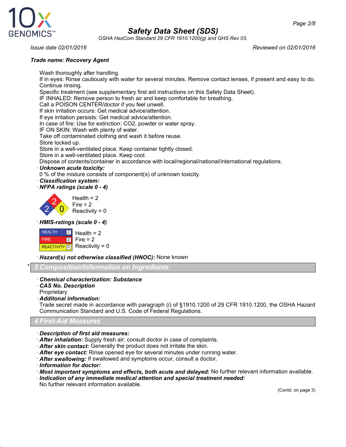

*OSHA HazCom Standard 29 CFR 1910.1200(g) and GHS Rev 03.*

*Page 2/8*

*Issue date 02/01/2016 Reviewed on 02/01/2016*

#### *Trade name: Recovery Agent*

Wash thoroughly after handling. If in eyes: Rinse cautiously with water for several minutes. Remove contact lenses, if present and easy to do. Continue rinsing. Specific treatment (see supplementary first aid instructions on this Safety Data Sheet). IF INHALED: Remove person to fresh air and keep comfortable for breathing. Call a POISON CENTER/doctor if you feel unwell. If skin irritation occurs: Get medical advice/attention. If eye irritation persists: Get medical advice/attention. In case of fire: Use for extinction: CO2, powder or water spray. IF ON SKIN: Wash with plenty of water. Take off contaminated clothing and wash it before reuse. Store locked up. Store in a well-ventilated place. Keep container tightly closed. Store in a well-ventilated place. Keep cool. Dispose of contents/container in accordance with local/regional/national/international regulations. · *Unknown acute toxicity:* 0 % of the mixture consists of component(s) of unknown toxicity. · *Classification system:* · *NFPA ratings (scale 0 - 4)* 2 2  $\overline{0}$  $Health = 2$  $Fire = 2$ Reactivity =  $0$ 

· *HMIS-ratings (scale 0 - 4)*



· *Hazard(s) not otherwise classified (HNOC):* None known

\* *3 Composition/Information on Ingredients*

#### · *Chemical characterization: Substance*

· *CAS No. Description*

**Proprietary** 

· *Additonal information:*

Trade secret made in accordance with paragraph (i) of §1910.1200 of 29 CFR 1910.1200, the OSHA Hazard Communication Standard and U.S. Code of Federal Regulations.

*4 First-Aid Measures*

- · *Description of first aid measures:*
- · *After inhalation:* Supply fresh air; consult doctor in case of complaints.
- · *After skin contact:* Generally the product does not irritate the skin.
- · *After eye contact:* Rinse opened eye for several minutes under running water.
- · *After swallowing:* If swallowed and symptoms occur, consult a doctor.
- · *Information for doctor:*
- · *Most important symptoms and effects, both acute and delayed:* No further relevant information available.
- · *Indication of any immediate medical attention and special treatment needed:* No further relevant information available.

(Contd. on page 3)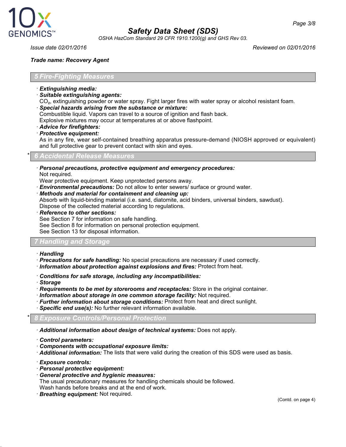

*OSHA HazCom Standard 29 CFR 1910.1200(g) and GHS Rev 03.*

*Issue date 02/01/2016 Reviewed on 02/01/2016*

#### *Trade name: Recovery Agent*

#### *5 Fire-Fighting Measures*

- · *Extinguishing media:*
- · *Suitable extinguishing agents:*

CO₂, extinguishing powder or water spray. Fight larger fires with water spray or alcohol resistant foam.

· *Special hazards arising from the substance or mixture:*

Combustible liquid. Vapors can travel to a source of ignition and flash back.

Explosive mixtures may occur at temperatures at or above flashpoint.

- · *Advice for firefighters:*
- · *Protective equipment:*

As in any fire, wear self-contained breathing apparatus pressure-demand (NIOSH approved or equivalent) and full protective gear to prevent contact with skin and eyes.

#### \* *6 Accidental Release Measures*

· *Personal precautions, protective equipment and emergency procedures:* Not required.

Wear protective equipment. Keep unprotected persons away.

· *Environmental precautions:* Do not allow to enter sewers/ surface or ground water.

· *Methods and material for containment and cleaning up:*

Absorb with liquid-binding material (i.e. sand, diatomite, acid binders, universal binders, sawdust).

Dispose of the collected material according to regulations.

· *Reference to other sections:*

See Section 7 for information on safe handling.

See Section 8 for information on personal protection equipment.

See Section 13 for disposal information.

#### *7 Handling and Storage*

- · *Handling*
- · *Precautions for safe handling:* No special precautions are necessary if used correctly.
- · *Information about protection against explosions and fires:* Protect from heat.
- · *Conditions for safe storage, including any incompatibilities:*
- · *Storage*
- · *Requirements to be met by storerooms and receptacles:* Store in the original container.
- · *Information about storage in one common storage facility:* Not required.
- · *Further information about storage conditions:* Protect from heat and direct sunlight.
- · *Specific end use(s):* No further relevant information available.

#### \* *8 Exposure Controls/Personal Protection*

· *Additional information about design of technical systems:* Does not apply.

- · *Control parameters:*
- · *Components with occupational exposure limits:*
- · *Additional information:* The lists that were valid during the creation of this SDS were used as basis.
- · *Exposure controls:*
- · *Personal protective equipment:*
- · *General protective and hygienic measures:* The usual precautionary measures for handling chemicals should be followed. Wash hands before breaks and at the end of work.
- · *Breathing equipment:* Not required.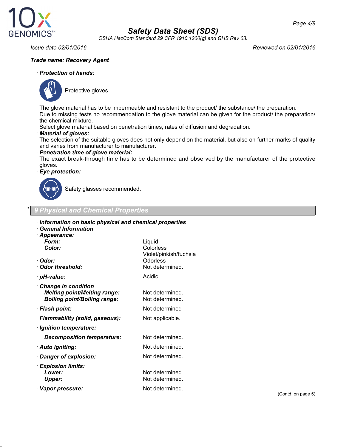

*OSHA HazCom Standard 29 CFR 1910.1200(g) and GHS Rev 03.*

*Issue date 02/01/2016 Reviewed on 02/01/2016*

#### *Trade name: Recovery Agent*

#### · *Protection of hands:*



Protective gloves

The glove material has to be impermeable and resistant to the product/ the substance/ the preparation. Due to missing tests no recommendation to the glove material can be given for the product/ the preparation/ the chemical mixture.

Select glove material based on penetration times, rates of diffusion and degradation.

· *Material of gloves:*

The selection of the suitable gloves does not only depend on the material, but also on further marks of quality and varies from manufacturer to manufacturer.

· *Penetration time of glove material:*

The exact break-through time has to be determined and observed by the manufacturer of the protective gloves.

#### · *Eye protection:*



Safety glasses recommended.

#### \* *9 Physical and Chemical Properties*

| Information on basic physical and chemical properties<br>$\cdot$ General Information<br>· Appearance: |                                                                              |
|-------------------------------------------------------------------------------------------------------|------------------------------------------------------------------------------|
| Form:<br>Color:<br>· Odor:<br>· Odor threshold:                                                       | Liquid<br>Colorless<br>Violet/pinkish/fuchsia<br>Odorless<br>Not determined. |
| · pH-value:                                                                                           | Acidic                                                                       |
| · Change in condition<br><b>Melting point/Melting range:</b><br><b>Boiling point/Boiling range:</b>   | Not determined.<br>Not determined.                                           |
| · Flash point:                                                                                        | Not determined                                                               |
| · Flammability (solid, gaseous):                                                                      | Not applicable.                                                              |
| · Ignition temperature:                                                                               |                                                                              |
| <b>Decomposition temperature:</b>                                                                     | Not determined.                                                              |
| · Auto igniting:                                                                                      | Not determined.                                                              |
| · Danger of explosion:                                                                                | Not determined.                                                              |
| · Explosion limits:<br>Lower:<br><b>Upper:</b>                                                        | Not determined.<br>Not determined.                                           |
| · Vapor pressure:                                                                                     | Not determined.                                                              |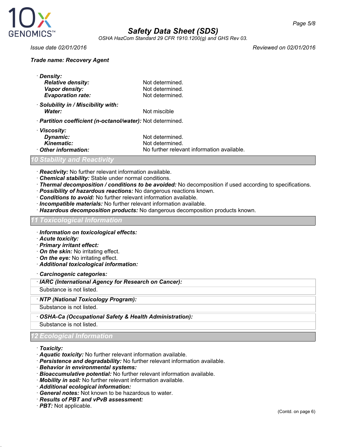

*OSHA HazCom Standard 29 CFR 1910.1200(g) and GHS Rev 03.*

· *Viscosity:*

#### *Trade name: Recovery Agent*

| · Density:                       |                 |
|----------------------------------|-----------------|
| <b>Relative density:</b>         | Not determined. |
| Vapor density:                   | Not determined. |
| <b>Evaporation rate:</b>         | Not determined. |
| Colubility in (Mionibility with) |                 |

· *Solubility in / Miscibility with:* **Water:** Not miscible

· *Partition coefficient (n-octanol/water):* Not determined.

| · VISCOSITV:       |                                            |
|--------------------|--------------------------------------------|
| Dynamic:           | Not determined.                            |
| <i>Kinematic:</i>  | Not determined.                            |
| Other information: | No further relevant information available. |

#### *10 Stability and Reactivity*

· *Reactivity:* No further relevant information available.

- · *Chemical stability:* Stable under normal conditions.
- · *Thermal decomposition / conditions to be avoided:* No decomposition if used according to specifications.
- · *Possibility of hazardous reactions:* No dangerous reactions known.
- · *Conditions to avoid:* No further relevant information available.
- · *Incompatible materials:* No further relevant information available.
- · *Hazardous decomposition products:* No dangerous decomposition products known.

#### *11 Toxicological Information*

- · *Information on toxicological effects:*
- · *Acute toxicity:*
- · *Primary irritant effect:*
- · *On the skin:* No irritating effect.
- · *On the eye:* No irritating effect.
- · *Additional toxicological information:*
- · *Carcinogenic categories:*
- · *IARC (International Agency for Research on Cancer):*
- Substance is not listed.
- · *NTP (National Toxicology Program):*

Substance is not listed.

· *OSHA-Ca (Occupational Safety & Health Administration):*

Substance is not listed.

### *12 Ecological Information*

#### · *Toxicity:*

- · *Aquatic toxicity:* No further relevant information available.
- · *Persistence and degradability:* No further relevant information available.
- · *Behavior in environmental systems:*
- · *Bioaccumulative potential:* No further relevant information available.
- · *Mobility in soil:* No further relevant information available.
- · *Additional ecological information:*
- · *General notes:* Not known to be hazardous to water.
- · *Results of PBT and vPvB assessment:*
- · *PBT:* Not applicable.

*Issue date 02/01/2016 Reviewed on 02/01/2016*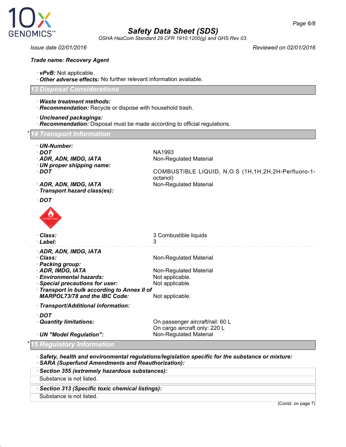

*OSHA HazCom Standard 29 CFR 1910.1200(g) and GHS Rev 03.*

#### *Trade name: Recovery Agent*

- · *vPvB:* Not applicable.
- · *Other adverse effects:* No further relevant information available.

#### *13 Disposal Considerations*

- · *Waste treatment methods:*
- · *Recommendation:* Recycle or dispose with household trash.
- · *Uncleaned packagings:*
- · *Recommendation:* Disposal must be made according to official regulations.

#### \* *14 Transport Information*

- · *UN-Number:*
- · *DOT* NA1993
- · **ADR, ADN, IMDG, IATA** Non-Regulated Material
- · *UN proper shipping name:*
- · *DOT* COMBUSTIBLE LIQUID, N.O.S (1H,1H,2H,2H-Perfluoro-1-
- · ADR, ADN, IMDG, IATA
- · *Transport hazard class(es):*
- · *DOT*



| <b>COMBUSTIBLE</b>                         |                        |  |
|--------------------------------------------|------------------------|--|
| · Class:                                   | 3 Combustible liquids  |  |
| · Label:                                   | 3                      |  |
| · ADR, ADN, IMDG, IATA                     |                        |  |
| · Class:                                   | Non-Regulated Material |  |
| · Packing group:                           |                        |  |
| · ADR, IMDG, IATA                          | Non-Regulated Material |  |
| $\cdot$ Environmental hazards:             | Not applicable.        |  |
| · Special precautions for user:            | Not applicable.        |  |
| Transport in bulk according to Annex II of |                        |  |
| <b>MARPOL73/78 and the IBC Code:</b>       | Not applicable.        |  |

octanol)<br>Non-Regulated Material

· *Transport/Additional information:*

· *DOT*

· *Quantity limitations:* On passenger aircraft/rail: 60 L On cargo aircraft only: 220 L<br>Non-Regulated Material **· UN "Model Regulation":** 

\* *15 Regulatory Information*

· *Safety, health and environmental regulations/legislation specific for the substance or mixture:* · *SARA (Superfund Amendments and Reauthorization):*

· *Section 355 (extremely hazardous substances):*

Substance is not listed.

· *Section 313 (Specific toxic chemical listings):*

Substance is not listed.

(Contd. on page 7)

*Issue date 02/01/2016 Reviewed on 02/01/2016*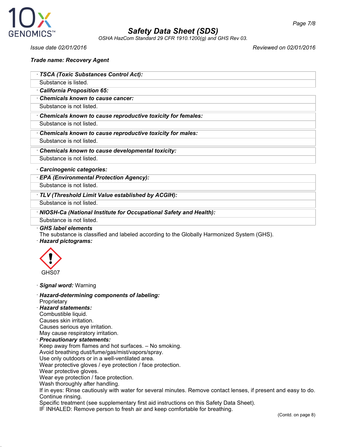

*OSHA HazCom Standard 29 CFR 1910.1200(g) and GHS Rev 03.*

*Issue date 02/01/2016 Reviewed on 02/01/2016*

#### *Trade name: Recovery Agent*

|  |  |  | · TSCA (Toxic Substances Control Act): |
|--|--|--|----------------------------------------|
|--|--|--|----------------------------------------|

- Substance is listed.
- · *California Proposition 65:*
- · *Chemicals known to cause cancer:*
- Substance is not listed.

· *Chemicals known to cause reproductive toxicity for females:*

- Substance is not listed.
- · *Chemicals known to cause reproductive toxicity for males:*
- Substance is not listed.
- · *Chemicals known to cause developmental toxicity:*
- Substance is not listed.
- · *Carcinogenic categories:*
- · *EPA (Environmental Protection Agency):*

Substance is not listed.

· *TLV (Threshold Limit Value established by ACGIH):*

Substance is not listed.

· *NIOSH-Ca (National Institute for Occupational Safety and Health):*

Substance is not listed.

· *GHS label elements*

The substance is classified and labeled according to the Globally Harmonized System (GHS). · *Hazard pictograms:*



· *Signal word:* Warning

· *Hazard-determining components of labeling:* **Proprietary** · *Hazard statements:* Combustible liquid. Causes skin irritation. Causes serious eye irritation. May cause respiratory irritation. · *Precautionary statements:* Keep away from flames and hot surfaces. – No smoking. Avoid breathing dust/fume/gas/mist/vapors/spray. Use only outdoors or in a well-ventilated area. Wear protective gloves / eye protection / face protection. Wear protective gloves. Wear eye protection / face protection. Wash thoroughly after handling. If in eyes: Rinse cautiously with water for several minutes. Remove contact lenses, if present and easy to do. Continue rinsing. Specific treatment (see supplementary first aid instructions on this Safety Data Sheet). IF INHALED: Remove person to fresh air and keep comfortable for breathing.